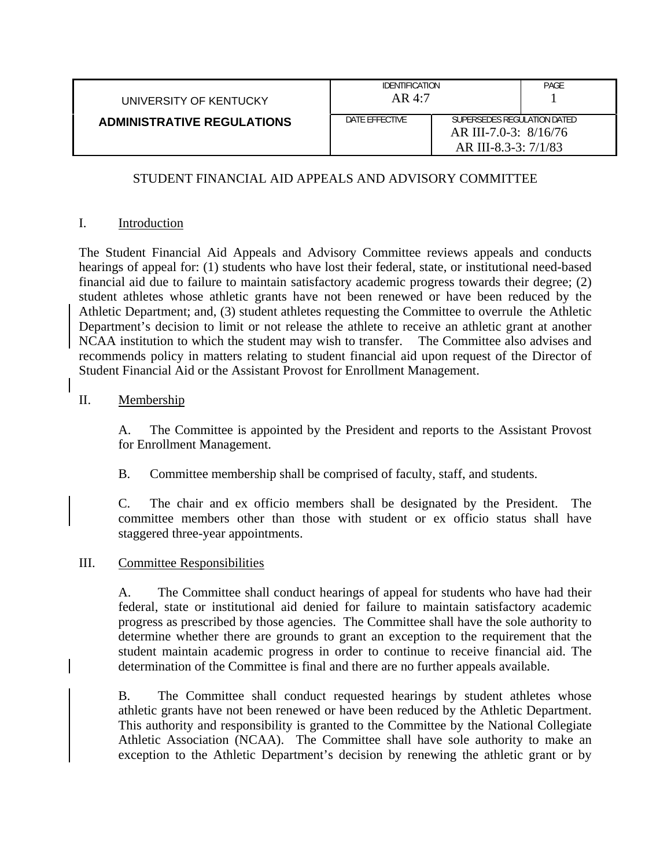| UNIVERSITY OF KENTUCKY            | <b>IDENTIFICATION</b><br>AR 4:7 |                                                                              | PAGE |
|-----------------------------------|---------------------------------|------------------------------------------------------------------------------|------|
| <b>ADMINISTRATIVE REGULATIONS</b> | DATE EFFECTIVE                  | SUPERSEDES REGULATION DATED<br>AR III-7.0-3: 8/16/76<br>AR III-8.3-3: 7/1/83 |      |

# STUDENT FINANCIAL AID APPEALS AND ADVISORY COMMITTEE

## I. Introduction

The Student Financial Aid Appeals and Advisory Committee reviews appeals and conducts hearings of appeal for: (1) students who have lost their federal, state, or institutional need-based financial aid due to failure to maintain satisfactory academic progress towards their degree; (2) student athletes whose athletic grants have not been renewed or have been reduced by the Athletic Department; and, (3) student athletes requesting the Committee to overrule the Athletic Department's decision to limit or not release the athlete to receive an athletic grant at another NCAA institution to which the student may wish to transfer. The Committee also advises and recommends policy in matters relating to student financial aid upon request of the Director of Student Financial Aid or the Assistant Provost for Enrollment Management.

### II. Membership

A. The Committee is appointed by the President and reports to the Assistant Provost for Enrollment Management.

B. Committee membership shall be comprised of faculty, staff, and students.

C. The chair and ex officio members shall be designated by the President. The committee members other than those with student or ex officio status shall have staggered three-year appointments.

### III. Committee Responsibilities

A. The Committee shall conduct hearings of appeal for students who have had their federal, state or institutional aid denied for failure to maintain satisfactory academic progress as prescribed by those agencies. The Committee shall have the sole authority to determine whether there are grounds to grant an exception to the requirement that the student maintain academic progress in order to continue to receive financial aid. The determination of the Committee is final and there are no further appeals available.

B. The Committee shall conduct requested hearings by student athletes whose athletic grants have not been renewed or have been reduced by the Athletic Department. This authority and responsibility is granted to the Committee by the National Collegiate Athletic Association (NCAA). The Committee shall have sole authority to make an exception to the Athletic Department's decision by renewing the athletic grant or by